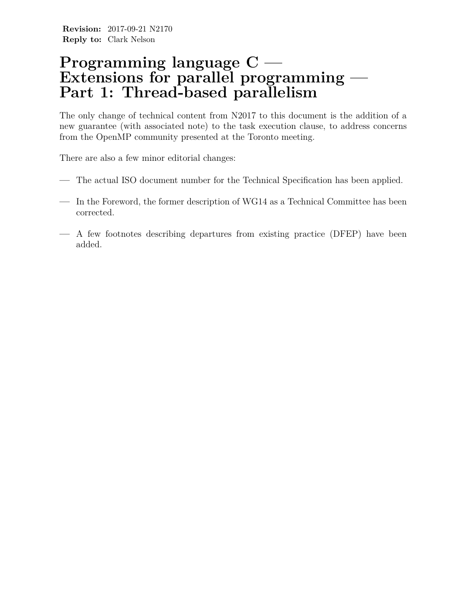# **Programming language C — Extensions for parallel programming — Part 1: Thread-based parallelism**

The only change of technical content from N2017 to this document is the addition of a new guarantee (with associated note) to the task execution clause, to address concerns from the OpenMP community presented at the Toronto meeting.

There are also a few minor editorial changes:

- **—** The actual ISO document number for the Technical Specification has been applied.
- **—** In the Foreword, the former description of WG14 as a Technical Committee has been corrected.
- **—** A few footnotes describing departures from existing practice (DFEP) have been added.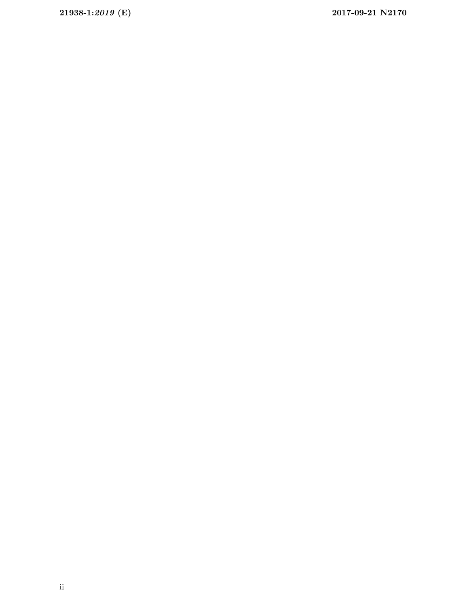**21938-1:***2019* **(E) 2017-09-21 N2170**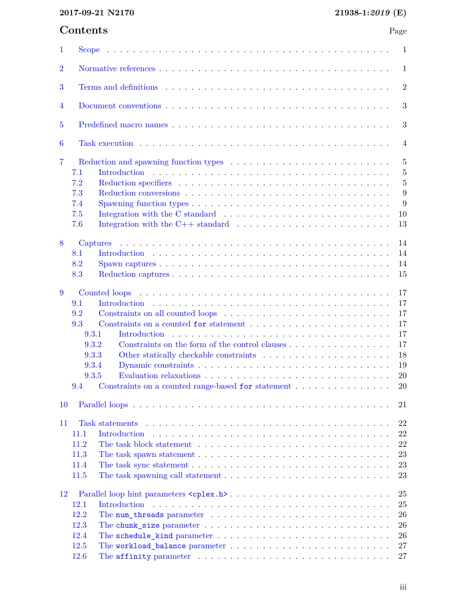#### **2017-09-21 N2170 21938-1:***2019* **(E)**

|                | Contents   |                                                                                                                                                                                                                                | Page                             |
|----------------|------------|--------------------------------------------------------------------------------------------------------------------------------------------------------------------------------------------------------------------------------|----------------------------------|
| $\mathbf{1}$   |            |                                                                                                                                                                                                                                | $\mathbf{1}$                     |
| $\overline{2}$ |            |                                                                                                                                                                                                                                | $\mathbf{1}$                     |
| 3              |            | Terms and definitions enterprise in the contract of the contract of the contract of the contract of the contract of the contract of the contract of the contract of the contract of the contract of the contract of the contra | $\overline{2}$                   |
| $\overline{4}$ |            |                                                                                                                                                                                                                                | 3                                |
| $\overline{5}$ |            |                                                                                                                                                                                                                                | 3                                |
|                |            |                                                                                                                                                                                                                                |                                  |
| 6              |            |                                                                                                                                                                                                                                | $\overline{4}$                   |
| $\overline{7}$ |            |                                                                                                                                                                                                                                | $\overline{5}$                   |
|                | 7.1<br>7.2 |                                                                                                                                                                                                                                | $\overline{5}$<br>$\overline{5}$ |
|                | 7.3        | Reduction conversions expansions and conversions are all the set of the set of the set of the set of the set of the set of the set of the set of the set of the set of the set of the set of the set of the set of the set of  | 9                                |
|                | 7.4        |                                                                                                                                                                                                                                | 9                                |
|                | 7.5        | Integration with the $C$ standard $\ldots \ldots \ldots \ldots \ldots \ldots \ldots \ldots \ldots$                                                                                                                             | 10                               |
|                | 7.6        |                                                                                                                                                                                                                                | 13                               |
|                |            |                                                                                                                                                                                                                                |                                  |
| 8              | Captures   |                                                                                                                                                                                                                                | 14                               |
|                | 8.1        |                                                                                                                                                                                                                                | 14                               |
|                | 8.2        |                                                                                                                                                                                                                                | 14                               |
|                | 8.3        |                                                                                                                                                                                                                                | 15                               |
| 9              |            | Counted loops                                                                                                                                                                                                                  | 17                               |
|                | 9.1        |                                                                                                                                                                                                                                | 17                               |
|                | 9.2        |                                                                                                                                                                                                                                | 17                               |
|                | 9.3        |                                                                                                                                                                                                                                | 17                               |
|                | 9.3.1      | Introduction                                                                                                                                                                                                                   | 17                               |
|                | 9.3.2      | Constraints on the form of the control clauses                                                                                                                                                                                 | 17                               |
|                | 9.3.3      |                                                                                                                                                                                                                                | 18                               |
|                | 9.3.4      |                                                                                                                                                                                                                                | 19                               |
|                | 9.3.5      | Dynamic constraints $\ldots \ldots \ldots \ldots \ldots \ldots \ldots \ldots \ldots \ldots \ldots$                                                                                                                             | 20                               |
|                | 9.4        | Constraints on a counted range-based for statement $\ldots \ldots \ldots \ldots \ldots$                                                                                                                                        | 20                               |
|                |            |                                                                                                                                                                                                                                |                                  |
| <b>10</b>      |            |                                                                                                                                                                                                                                | 21                               |
| 11             |            | <b>Task statements</b>                                                                                                                                                                                                         | 22                               |
|                | 11.1       |                                                                                                                                                                                                                                | 22                               |
|                | 11.2       |                                                                                                                                                                                                                                | 22                               |
|                | 11.3       |                                                                                                                                                                                                                                | 23                               |
|                | 11.4       | The task sync statement $\dots \dots \dots \dots \dots \dots \dots \dots \dots \dots \dots \dots \dots$                                                                                                                        | 23                               |
|                | 11.5       |                                                                                                                                                                                                                                | 23                               |
| 12             |            |                                                                                                                                                                                                                                | 25                               |
|                | 12.1       |                                                                                                                                                                                                                                | 25                               |
|                | 12.2       |                                                                                                                                                                                                                                | 26                               |
|                | 12.3       |                                                                                                                                                                                                                                | 26                               |
|                | 12.4       |                                                                                                                                                                                                                                | 26                               |
|                | 12.5       |                                                                                                                                                                                                                                | 27                               |
|                | 12.6       | The affinity parameter $\dots \dots \dots \dots \dots \dots \dots \dots \dots \dots \dots \dots \dots$                                                                                                                         | 27                               |
|                |            |                                                                                                                                                                                                                                |                                  |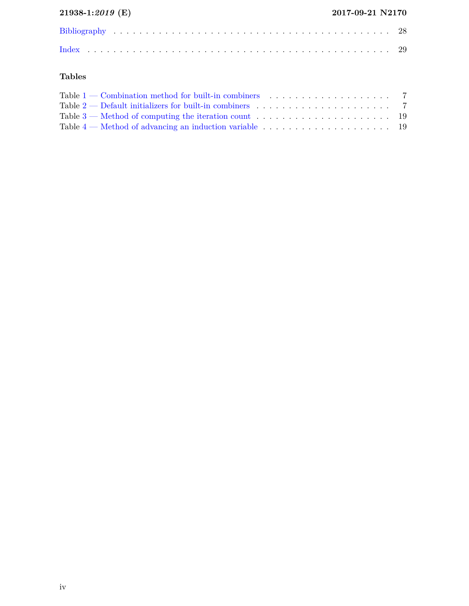| 21938-1:2019 (E) |  |
|------------------|--|
|                  |  |

## **Tables**

| Table $1$ — Combination method for built-in combiners $\dots \dots \dots \dots \dots \dots$                         |  |
|---------------------------------------------------------------------------------------------------------------------|--|
| Table 2 — Default initializers for built-in combiners $\ldots \ldots \ldots \ldots \ldots \ldots \ldots$            |  |
|                                                                                                                     |  |
| Table $4$ — Method of advancing an induction variable $\dots \dots \dots \dots \dots \dots \dots \dots \dots \dots$ |  |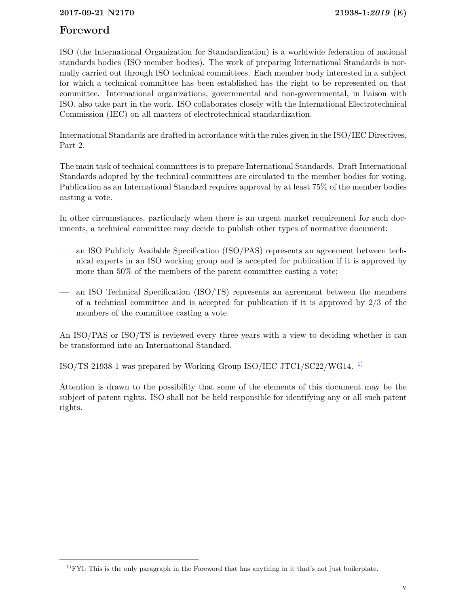## **Foreword**

ISO (the International Organization for Standardization) is a worldwide federation of national standards bodies (ISO member bodies). The work of preparing International Standards is normally carried out through ISO technical committees. Each member body interested in a subject for which a technical committee has been established has the right to be represented on that committee. International organizations, governmental and non-governmental, in liaison with ISO, also take part in the work. ISO collaborates closely with the International Electrotechnical Commission (IEC) on all matters of electrotechnical standardization.

International Standards are drafted in accordance with the rules given in the ISO/IEC Directives, Part 2.

The main task of technical committees is to prepare International Standards. Draft International Standards adopted by the technical committees are circulated to the member bodies for voting. Publication as an International Standard requires approval by at least 75% of the member bodies casting a vote.

In other circumstances, particularly when there is an urgent market requirement for such documents, a technical committee may decide to publish other types of normative document:

- **—** an ISO Publicly Available Specification (ISO/PAS) represents an agreement between technical experts in an ISO working group and is accepted for publication if it is approved by more than 50% of the members of the parent committee casting a vote;
- **—** an ISO Technical Specification (ISO/TS) represents an agreement between the members of a technical committee and is accepted for publication if it is approved by  $2/3$  of the members of the committee casting a vote.

An ISO/PAS or ISO/TS is reviewed every three years with a view to deciding whether it can be transformed into an International Standard.

ISO/TS 21938-1 was prepared by Working Group ISO/IEC JTC1/SC22/WG14.  $^{1}$ 

Attention is drawn to the possibility that some of the elements of this document may be the subject of patent rights. ISO shall not be held responsible for identifying any or all such patent rights.

<span id="page-4-0"></span> $<sup>1</sup>$ FYI: This is the only paragraph in the Foreword that has anything in it that's not just boilerplate.</sup>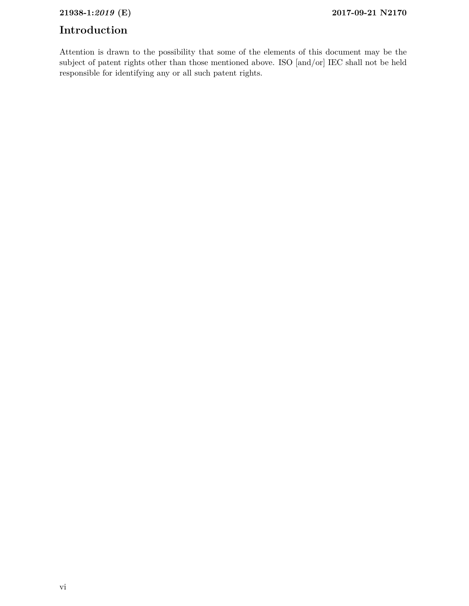## **Introduction**

Attention is drawn to the possibility that some of the elements of this document may be the subject of patent rights other than those mentioned above. ISO [and/or] IEC shall not be held responsible for identifying any or all such patent rights.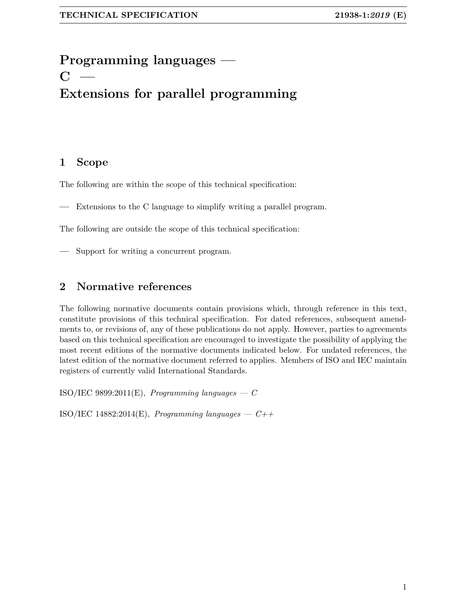# **Programming languages —**  $\mathbf{C}$ **Extensions for parallel programming**

## <span id="page-6-0"></span>**1 Scope**

The following are within the scope of this technical specification:

**—** Extensions to the C language to simplify writing a parallel program.

The following are outside the scope of this technical specification:

**—** Support for writing a concurrent program.

## <span id="page-6-1"></span>**2 Normative references**

The following normative documents contain provisions which, through reference in this text, constitute provisions of this technical specification. For dated references, subsequent amendments to, or revisions of, any of these publications do not apply. However, parties to agreements based on this technical specification are encouraged to investigate the possibility of applying the most recent editions of the normative documents indicated below. For undated references, the latest edition of the normative document referred to applies. Members of ISO and IEC maintain registers of currently valid International Standards.

ISO/IEC 9899:2011(E), *Programming languages — C*

ISO/IEC 14882:2014(E), *Programming languages — C++*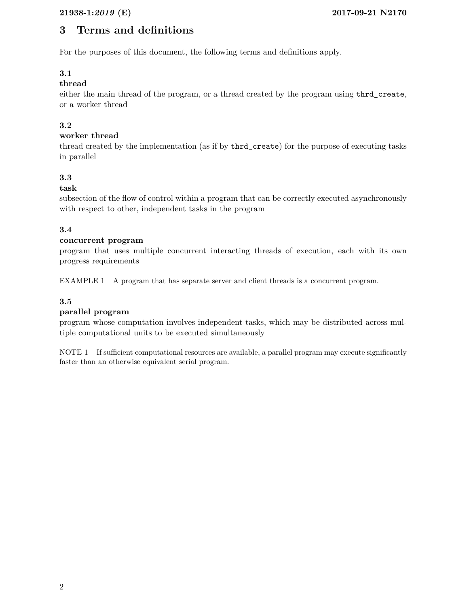## <span id="page-7-1"></span><span id="page-7-0"></span>**3 Terms and definitions**

For the purposes of this document, the following terms and definitions apply.

#### **3.1**

#### **thread**

either the main thread of the program, or a thread created by the program using thrd\_create, or a worker thread

#### **3.2**

#### **worker thread**

thread created by the implementation (as if by thrd\_create) for the purpose of executing tasks in parallel

#### **3.3**

#### **task**

subsection of the flow of control within a program that can be correctly executed asynchronously with respect to other, independent tasks in the program

#### **3.4**

#### **concurrent program**

program that uses multiple concurrent interacting threads of execution, each with its own progress requirements

EXAMPLE 1 A program that has separate server and client threads is a concurrent program.

#### **3.5**

#### **parallel program**

program whose computation involves independent tasks, which may be distributed across multiple computational units to be executed simultaneously

NOTE 1 If sufficient computational resources are available, a parallel program may execute significantly faster than an otherwise equivalent serial program.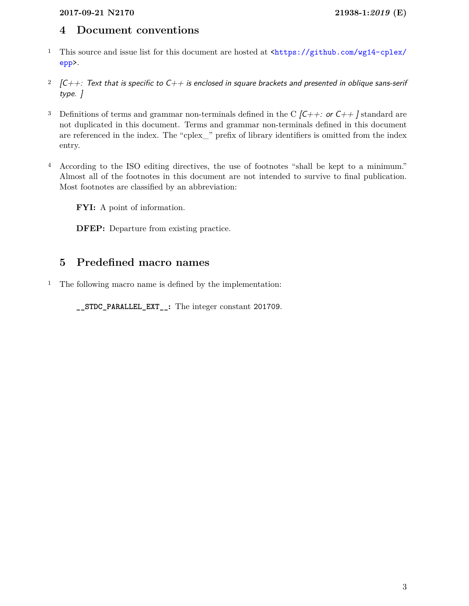## <span id="page-8-0"></span>**4 Document conventions**

- 1 This source and issue list for this document are hosted at [<https://github.com/wg14-cplex/](https://github.com/wg14-cplex/epp) [epp>](https://github.com/wg14-cplex/epp).
- <sup>2</sup>  $|C++$ : Text that is specific to  $C++$  is enclosed in square brackets and presented in oblique sans-serif type. ]
- <sup>3</sup> Definitions of terms and grammar non-terminals defined in the C  $/C++$ : or  $C++$  standard are not duplicated in this document. Terms and grammar non-terminals defined in this document are referenced in the index. The "cplex\_" prefix of library identifiers is omitted from the index entry.
- 4 According to the ISO editing directives, the use of footnotes "shall be kept to a minimum." Almost all of the footnotes in this document are not intended to survive to final publication. Most footnotes are classified by an abbreviation:

**FYI:** A point of information.

**DFEP:** Departure from existing practice.

## <span id="page-8-1"></span>**5 Predefined macro names**

1 The following macro name is defined by the implementation:

**\_\_STDC\_PARALLEL\_EXT\_\_:** The integer constant 201709.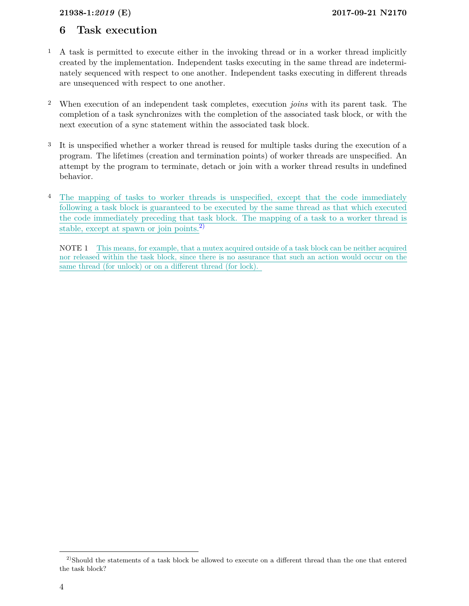## <span id="page-9-2"></span><span id="page-9-0"></span>**6 Task execution**

- <sup>1</sup> A task is permitted to execute either in the invoking thread or in a worker thread implicitly created by the implementation. Independent tasks executing in the same thread are indeterminately sequenced with respect to one another. Independent tasks executing in different threads are unsequenced with respect to one another.
- 2 When execution of an independent task completes, execution *joins* with its parent task. The completion of a task synchronizes with the completion of the associated task block, or with the next execution of a sync statement within the associated task block.
- 3 It is unspecified whether a worker thread is reused for multiple tasks during the execution of a program. The lifetimes (creation and termination points) of worker threads are unspecified. An attempt by the program to terminate, detach or join with a worker thread results in undefined behavior.
- 4 The mapping of tasks to worker threads is unspecified, except that the code immediately following a task block is guaranteed to be executed by the same thread as that which executed the code immediately preceding that task block. The mapping of a task to a worker thread is stable, except at spawn or join points.<sup>[2\)](#page-9-1)</sup>

NOTE 1 This means, for example, that a mutex acquired outside of a task block can be neither acquired nor released within the task block, since there is no assurance that such an action would occur on the same thread (for unlock) or on a different thread (for lock).

<span id="page-9-1"></span><sup>2)</sup>Should the statements of a task block be allowed to execute on a different thread than the one that entered the task block?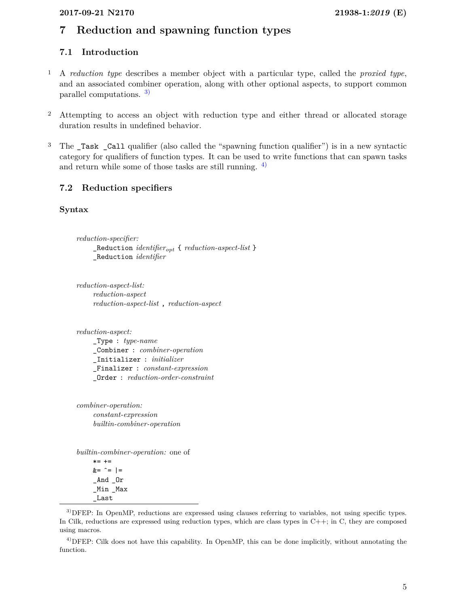## <span id="page-10-5"></span><span id="page-10-1"></span><span id="page-10-0"></span>**7 Reduction and spawning function types**

#### **7.1 Introduction**

- 1 A *reduction type* describes a member object with a particular type, called the *proxied type*, and an associated combiner operation, along with other optional aspects, to support common parallel computations. [3\)](#page-10-3)
- 2 Attempting to access an object with reduction type and either thread or allocated storage duration results in undefined behavior.
- 3 The \_Task \_Call qualifier (also called the "spawning function qualifier") is in a new syntactic category for qualifiers of function types. It can be used to write functions that can spawn tasks and return while some of those tasks are still running.  $\frac{4}{3}$

#### <span id="page-10-2"></span>**7.2 Reduction specifiers**

#### **Syntax**

```
reduction-specifier:
     _Reduction identifieropt { reduction-aspect-list }
    _Reduction identifier
```

```
reduction-aspect-list:
     reduction-aspect
     reduction-aspect-list , reduction-aspect
```
*reduction-aspect:*

\_Type : *type-name* \_Combiner : *combiner-operation* \_Initializer : *initializer* \_Finalizer : *constant-expression* \_Order : *reduction-order-constraint*

*combiner-operation: constant-expression builtin-combiner-operation*

*builtin-combiner-operation:* one of  $* = +=$  $&=$  ^= | = \_And \_Or \_Min \_Max \_Last

<span id="page-10-3"></span>3)DFEP: In OpenMP, reductions are expressed using clauses referring to variables, not using specific types. In Cilk, reductions are expressed using reduction types, which are class types in C++; in C, they are composed using macros.

<span id="page-10-4"></span>4)DFEP: Cilk does not have this capability. In OpenMP, this can be done implicitly, without annotating the function.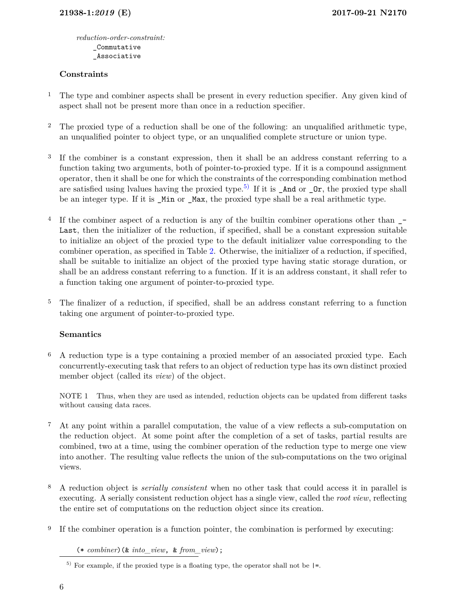<span id="page-11-1"></span>*reduction-order-constraint:* \_Commutative \_Associative

#### **Constraints**

- <sup>1</sup> The type and combiner aspects shall be present in every reduction specifier. Any given kind of aspect shall not be present more than once in a reduction specifier.
- 2 The proxied type of a reduction shall be one of the following: an unqualified arithmetic type, an unqualified pointer to object type, or an unqualified complete structure or union type.
- 3 If the combiner is a constant expression, then it shall be an address constant referring to a function taking two arguments, both of pointer-to-proxied type. If it is a compound assignment operator, then it shall be one for which the constraints of the corresponding combination method are satisfied using lvalues having the proxied type.<sup>[5\)](#page-11-0)</sup> If it is  $\Delta$ nd or  $\Delta$ r, the proxied type shall be an integer type. If it is Min or Max, the proxied type shall be a real arithmetic type.
- <sup>4</sup> If the combiner aspect of a reduction is any of the builtin combiner operations other than  $-$ Last, then the initializer of the reduction, if specified, shall be a constant expression suitable to initialize an object of the proxied type to the default initializer value corresponding to the combiner operation, as specified in Table [2.](#page-12-1) Otherwise, the initializer of a reduction, if specified, shall be suitable to initialize an object of the proxied type having static storage duration, or shall be an address constant referring to a function. If it is an address constant, it shall refer to a function taking one argument of pointer-to-proxied type.
- 5 The finalizer of a reduction, if specified, shall be an address constant referring to a function taking one argument of pointer-to-proxied type.

#### **Semantics**

6 A reduction type is a type containing a proxied member of an associated proxied type. Each concurrently-executing task that refers to an object of reduction type has its own distinct proxied member object (called its *view*) of the object.

NOTE 1 Thus, when they are used as intended, reduction objects can be updated from different tasks without causing data races.

- 7 At any point within a parallel computation, the value of a view reflects a sub-computation on the reduction object. At some point after the completion of a set of tasks, partial results are combined, two at a time, using the combiner operation of the reduction type to merge one view into another. The resulting value reflects the union of the sub-computations on the two original views.
- 8 A reduction object is *serially consistent* when no other task that could access it in parallel is executing. A serially consistent reduction object has a single view, called the *root view*, reflecting the entire set of computations on the reduction object since its creation.
- 9 If the combiner operation is a function pointer, the combination is performed by executing:

(\* *combiner*)(& *into\_view*, & *from\_view*);

<span id="page-11-0"></span> $^{5)}$  For example, if the proxied type is a floating type, the operator shall not be  $\vert$ =.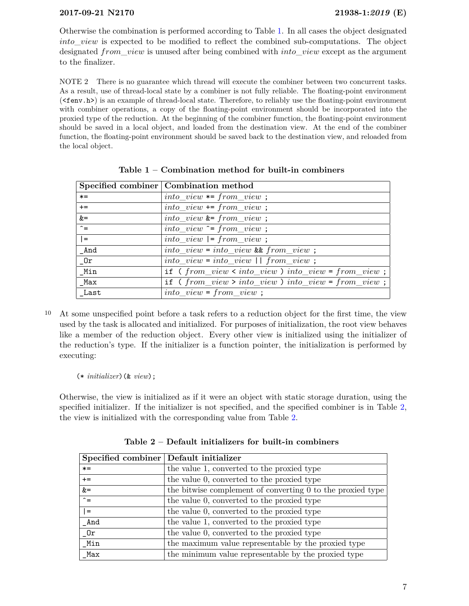Otherwise the combination is performed according to Table [1.](#page-12-0) In all cases the object designated into\_view is expected to be modified to reflect the combined sub-computations. The object designated from view is unused after being combined with into view except as the argument to the finalizer.

NOTE 2 There is no guarantee which thread will execute the combiner between two concurrent tasks. As a result, use of thread-local state by a combiner is not fully reliable. The floating-point environment (<fenv.h>) is an example of thread-local state. Therefore, to reliably use the floating-point environment with combiner operations, a copy of the floating-point environment should be incorporated into the proxied type of the reduction. At the beginning of the combiner function, the floating-point environment should be saved in a local object, and loaded from the destination view. At the end of the combiner function, the floating-point environment should be saved back to the destination view, and reloaded from the local object.

|                             | Specified combiner   Combination method                     |
|-----------------------------|-------------------------------------------------------------|
| $* =$                       | $into\_view \coloneqq from\_view;$                          |
| $+=$                        | $into\_view \vcentcolon= from\_view;$                       |
| $\&=$                       | $into\_view$ &= $from\_view$ ;                              |
| $\hat{z}$                   | $into\_view \sim from\_view;$                               |
| $=$                         | $into\_view$  = $from\_view$ ;                              |
| _And                        | $into\_view = into\_view$ && $from\_view$ ;                 |
| $\overline{\phantom{a}}$ Or | $into\_view = into\_view \mid \mid from\_view ;$            |
| Min                         | if (from view $\leq$ into view ) into view = from view;     |
| Max                         | if ( $from\_view > into\_view$ ) into view = $from\_view$ ; |
| Last                        | $into\;view = from\;view;\;$                                |

<span id="page-12-0"></span>**Table 1 – Combination method for built-in combiners**

10 At some unspecified point before a task refers to a reduction object for the first time, the view used by the task is allocated and initialized. For purposes of initialization, the root view behaves like a member of the reduction object. Every other view is initialized using the initializer of the reduction's type. If the initializer is a function pointer, the initialization is performed by executing:

#### (\* *initializer*)(& *view*);

Otherwise, the view is initialized as if it were an object with static storage duration, using the specified initializer. If the initializer is not specified, and the specified combiner is in Table [2,](#page-12-1) the view is initialized with the corresponding value from Table [2.](#page-12-1)

| Specified combiner Default initializer |                                                            |
|----------------------------------------|------------------------------------------------------------|
| $* =$                                  | the value 1, converted to the proxied type                 |
| $+=$                                   | the value 0, converted to the proxied type                 |
| $\&=$                                  | the bitwise complement of converting 0 to the proxied type |
| $\hat{ }$ =                            | the value 0, converted to the proxied type                 |
| $=$                                    | the value 0, converted to the proxied type                 |
| And                                    | the value 1, converted to the proxied type                 |
| $\overline{\phantom{a}}$ Or            | the value 0, converted to the proxied type                 |
| Min                                    | the maximum value representable by the proxied type        |
| Max                                    | the minimum value representable by the proxied type        |

<span id="page-12-1"></span>**Table 2 – Default initializers for built-in combiners**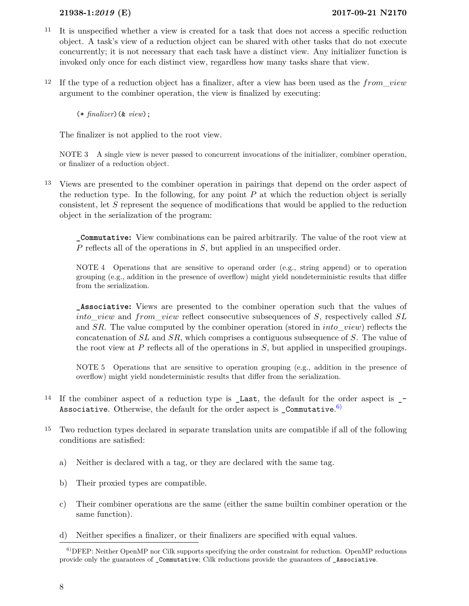- 11 It is unspecified whether a view is created for a task that does not access a specific reduction object. A task's view of a reduction object can be shared with other tasks that do not execute concurrently; it is not necessary that each task have a distinct view. Any initializer function is invoked only once for each distinct view, regardless how many tasks share that view.
- <sup>12</sup> If the type of a reduction object has a finalizer, after a view has been used as the *from* view argument to the combiner operation, the view is finalized by executing:

(\* *finalizer*)(& *view*);

The finalizer is not applied to the root view.

NOTE 3 A single view is never passed to concurrent invocations of the initializer, combiner operation, or finalizer of a reduction object.

13 Views are presented to the combiner operation in pairings that depend on the order aspect of the reduction type. In the following, for any point  $P$  at which the reduction object is serially consistent, let S represent the sequence of modifications that would be applied to the reduction object in the serialization of the program:

**\_Commutative:** View combinations can be paired arbitrarily. The value of the root view at P reflects all of the operations in S, but applied in an unspecified order.

NOTE 4 Operations that are sensitive to operand order (e.g., string append) or to operation grouping (e.g., addition in the presence of overflow) might yield nondeterministic results that differ from the serialization.

**\_Associative:** Views are presented to the combiner operation such that the values of into view and from view reflect consecutive subsequences of S, respectively called  $SL$ and  $SR$ . The value computed by the combiner operation (stored in *into* view) reflects the concatenation of  $SL$  and  $SR$ , which comprises a contiguous subsequence of S. The value of the root view at  $P$  reflects all of the operations in  $S$ , but applied in unspecified groupings.

NOTE 5 Operations that are sensitive to operation grouping (e.g., addition in the presence of overflow) might yield nondeterministic results that differ from the serialization.

- 14 If the combiner aspect of a reduction type is \_Last, the default for the order aspect is \_- Associative. Otherwise, the default for the order aspect is  $\sub{\mathsf{Commutative}}.6)$  $\sub{\mathsf{Commutative}}.6)$
- 15 Two reduction types declared in separate translation units are compatible if all of the following conditions are satisfied:
	- a) Neither is declared with a tag, or they are declared with the same tag.
	- b) Their proxied types are compatible.
	- c) Their combiner operations are the same (either the same builtin combiner operation or the same function).
	- d) Neither specifies a finalizer, or their finalizers are specified with equal values.

<span id="page-13-0"></span><sup>6)</sup>DFEP: Neither OpenMP nor Cilk supports specifying the order constraint for reduction. OpenMP reductions provide only the guarantees of \_Commutative; Cilk reductions provide the guarantees of \_Associative.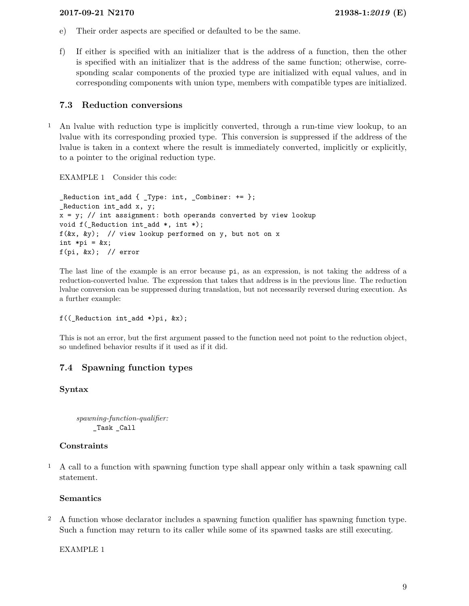- <span id="page-14-2"></span>e) Their order aspects are specified or defaulted to be the same.
- f) If either is specified with an initializer that is the address of a function, then the other is specified with an initializer that is the address of the same function; otherwise, corresponding scalar components of the proxied type are initialized with equal values, and in corresponding components with union type, members with compatible types are initialized.

#### <span id="page-14-0"></span>**7.3 Reduction conversions**

1 An lvalue with reduction type is implicitly converted, through a run-time view lookup, to an lvalue with its corresponding proxied type. This conversion is suppressed if the address of the lvalue is taken in a context where the result is immediately converted, implicitly or explicitly, to a pointer to the original reduction type.

EXAMPLE 1 Consider this code:

```
_RReduction int_add { _Type: int, _Combiner: += };
_Reduction int_add x, y;
x = y; // int assignment: both operands converted by view lookup
void f(_Reduction int_add *, int *);
f(&x, &y); // view lookup performed on y, but not on x
int *pi = &x;f(pi, \&x); // error
```
The last line of the example is an error because pi, as an expression, is not taking the address of a reduction-converted lvalue. The expression that takes that address is in the previous line. The reduction lvalue conversion can be suppressed during translation, but not necessarily reversed during execution. As a further example:

f((\_Reduction int\_add \*)pi, &x);

This is not an error, but the first argument passed to the function need not point to the reduction object, so undefined behavior results if it used as if it did.

#### <span id="page-14-1"></span>**7.4 Spawning function types**

**Syntax**

*spawning-function-qualifier:* \_Task \_Call

#### **Constraints**

1 A call to a function with spawning function type shall appear only within a task spawning call statement.

#### **Semantics**

2 A function whose declarator includes a spawning function qualifier has spawning function type. Such a function may return to its caller while some of its spawned tasks are still executing.

EXAMPLE 1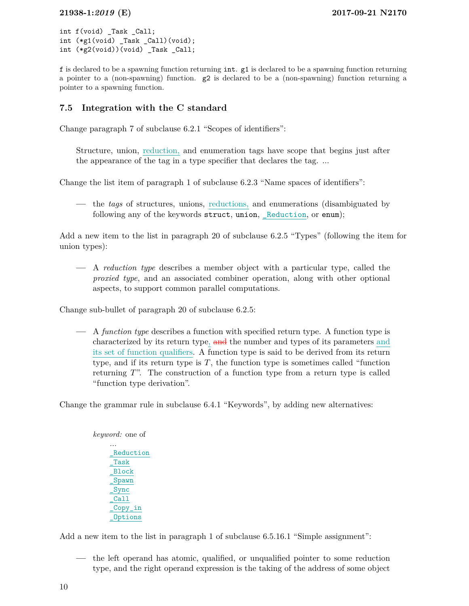```
int f(void) _Task _Call;
int (*g1(void) _Task _Call)(void);
int (*g2(void))(void) _Task _Call;
```
f is declared to be a spawning function returning int. g1 is declared to be a spawning function returning a pointer to a (non-spawning) function. g2 is declared to be a (non-spawning) function returning a pointer to a spawning function.

#### <span id="page-15-0"></span>**7.5 Integration with the C standard**

Change paragraph 7 of subclause 6.2.1 "Scopes of identifiers":

Structure, union, reduction, and enumeration tags have scope that begins just after the appearance of the tag in a type specifier that declares the tag. ...

Change the list item of paragraph 1 of subclause 6.2.3 "Name spaces of identifiers":

**—** the *tags* of structures, unions, reductions, and enumerations (disambiguated by following any of the keywords struct, union, \_Reduction, or enum);

Add a new item to the list in paragraph 20 of subclause 6.2.5 "Types" (following the item for union types):

**—** A *reduction type* describes a member object with a particular type, called the *proxied type*, and an associated combiner operation, along with other optional aspects, to support common parallel computations.

Change sub-bullet of paragraph 20 of subclause 6.2.5:

**—** A *function type* describes a function with specified return type. A function type is characterized by its return type, and the number and types of its parameters and its set of function qualifiers. A function type is said to be derived from its return type, and if its return type is  $T$ , the function type is sometimes called "function" returning T". The construction of a function type from a return type is called "function type derivation".

Change the grammar rule in subclause 6.4.1 "Keywords", by adding new alternatives:

*keyword:* one of *...* \_Reduction \_Task \_Block \_Spawn \_Sync \_Call \_Copy\_in \_Options

Add a new item to the list in paragraph 1 of subclause 6.5.16.1 "Simple assignment":

**—** the left operand has atomic, qualified, or unqualified pointer to some reduction type, and the right operand expression is the taking of the address of some object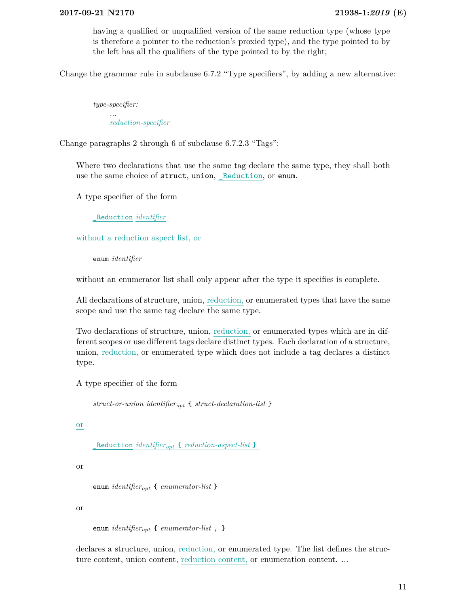having a qualified or unqualified version of the same reduction type (whose type is therefore a pointer to the reduction's proxied type), and the type pointed to by the left has all the qualifiers of the type pointed to by the right;

Change the grammar rule in subclause 6.7.2 "Type specifiers", by adding a new alternative:

*type-specifier: ...*

*reduction-specifier*

Change paragraphs 2 through 6 of subclause 6.7.2.3 "Tags":

Where two declarations that use the same tag declare the same type, they shall both use the same choice of struct, union, \_Reduction, or enum.

A type specifier of the form

\_Reduction *identifier*

without a reduction aspect list, or

enum *identifier*

without an enumerator list shall only appear after the type it specifies is complete.

All declarations of structure, union, reduction, or enumerated types that have the same scope and use the same tag declare the same type.

Two declarations of structure, union, reduction, or enumerated types which are in different scopes or use different tags declare distinct types. Each declaration of a structure, union, reduction, or enumerated type which does not include a tag declares a distinct type.

A type specifier of the form

*struct-or-union identifieropt* { *struct-declaration-list* }

or

\_Reduction *identifieropt* { *reduction-aspect-list* }

or

enum *identifieropt* { *enumerator-list* }

or

enum *identifieropt* { *enumerator-list* , }

declares a structure, union, reduction, or enumerated type. The list defines the structure content, union content, reduction content, or enumeration content. ...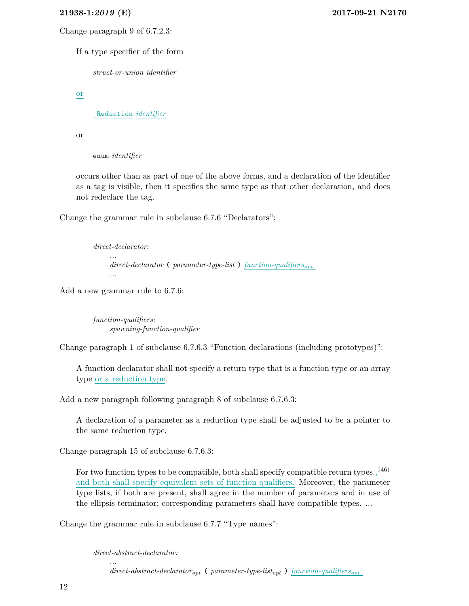Change paragraph 9 of 6.7.2.3:

If a type specifier of the form

*struct-or-union identifier*

or

\_Reduction *identifier*

or

enum *identifier*

occurs other than as part of one of the above forms, and a declaration of the identifier as a tag is visible, then it specifies the same type as that other declaration, and does not redeclare the tag.

Change the grammar rule in subclause 6.7.6 "Declarators":

*direct-declarator: ... direct-declarator* ( *parameter-type-list* ) *function-qualifiersopt ...*

Add a new grammar rule to 6.7.6:

*function-qualifiers: spawning-function-qualifier*

Change paragraph 1 of subclause 6.7.6.3 "Function declarations (including prototypes)":

A function declarator shall not specify a return type that is a function type or an array type or a reduction type.

Add a new paragraph following paragraph 8 of subclause 6.7.6.3:

A declaration of a parameter as a reduction type shall be adjusted to be a pointer to the same reduction type.

Change paragraph 15 of subclause 6.7.6.3:

For two function types to be compatible, both shall specify compatible return types.,  $^{146)}$ and both shall specify equivalent sets of function qualifiers. Moreover, the parameter type lists, if both are present, shall agree in the number of parameters and in use of the ellipsis terminator; corresponding parameters shall have compatible types. ...

Change the grammar rule in subclause 6.7.7 "Type names":

*direct-abstract-declarator:*

*...*

*direct-abstract-declaratoropt* ( *parameter-type-listopt* ) *function-qualifiersopt*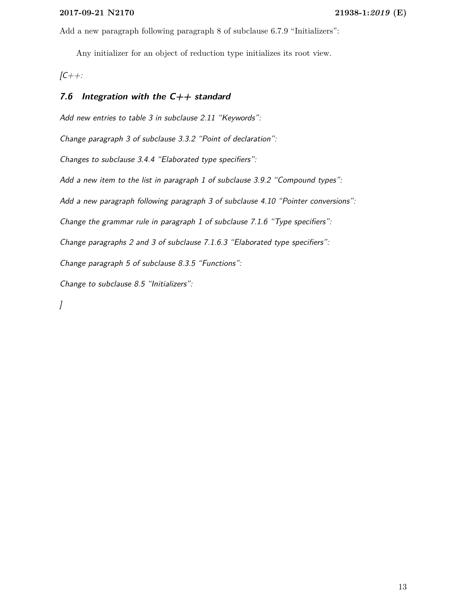#### <span id="page-18-1"></span>**2017-09-21 N2170 21938-1:***2019* **(E)**

Add a new paragraph following paragraph 8 of subclause 6.7.9 "Initializers":

Any initializer for an object of reduction type initializes its root view.

<span id="page-18-0"></span> $|C_{++}:$ 

#### **7.6 Integration with the C++ standard**

Add new entries to table 3 in subclause 2.11 "Keywords":

Change paragraph 3 of subclause 3.3.2 "Point of declaration":

Changes to subclause 3.4.4 "Elaborated type specifiers":

Add a new item to the list in paragraph 1 of subclause 3.9.2 "Compound types":

Add a new paragraph following paragraph 3 of subclause 4.10 "Pointer conversions":

Change the grammar rule in paragraph 1 of subclause 7.1.6 "Type specifiers":

Change paragraphs 2 and 3 of subclause 7.1.6.3 "Elaborated type specifiers":

Change paragraph 5 of subclause 8.3.5 "Functions":

Change to subclause 8.5 "Initializers":

]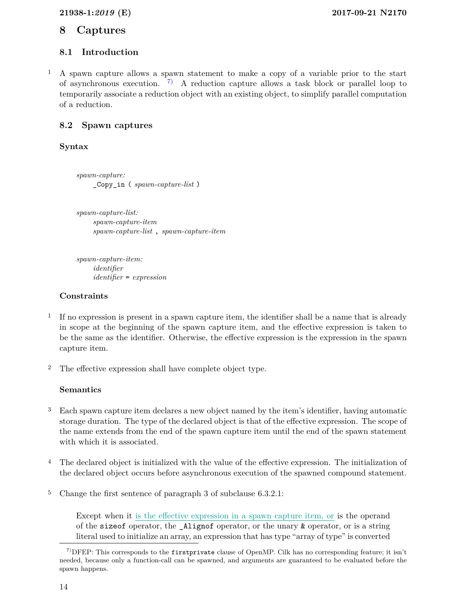<span id="page-19-4"></span>

## <span id="page-19-1"></span><span id="page-19-0"></span>**8 Captures**

#### **8.1 Introduction**

1 A spawn capture allows a spawn statement to make a copy of a variable prior to the start of asynchronous execution.  $7\overline{)}$  A reduction capture allows a task block or parallel loop to temporarily associate a reduction object with an existing object, to simplify parallel computation of a reduction.

#### <span id="page-19-2"></span>**8.2 Spawn captures**

#### **Syntax**

*spawn-capture:* \_Copy\_in ( *spawn-capture-list* )

*spawn-capture-list: spawn-capture-item spawn-capture-list* , *spawn-capture-item*

*spawn-capture-item: identifier identifier* = *expression*

#### **Constraints**

- 1 If no expression is present in a spawn capture item, the identifier shall be a name that is already in scope at the beginning of the spawn capture item, and the effective expression is taken to be the same as the identifier. Otherwise, the effective expression is the expression in the spawn capture item.
- 2 The effective expression shall have complete object type.

### **Semantics**

- 3 Each spawn capture item declares a new object named by the item's identifier, having automatic storage duration. The type of the declared object is that of the effective expression. The scope of the name extends from the end of the spawn capture item until the end of the spawn statement with which it is associated.
- 4 The declared object is initialized with the value of the effective expression. The initialization of the declared object occurs before asynchronous execution of the spawned compound statement.
- 5 Change the first sentence of paragraph 3 of subclause 6.3.2.1:

Except when it is the effective expression in a spawn capture item, or is the operand of the sizeof operator, the \_Alignof operator, or the unary & operator, or is a string literal used to initialize an array, an expression that has type "array of type" is converted

<span id="page-19-3"></span><sup>&</sup>lt;sup>7</sup>)DFEP: This corresponds to the firstprivate clause of OpenMP. Cilk has no corresponding feature; it isn't needed, because only a function-call can be spawned, and arguments are guaranteed to be evaluated before the spawn happens.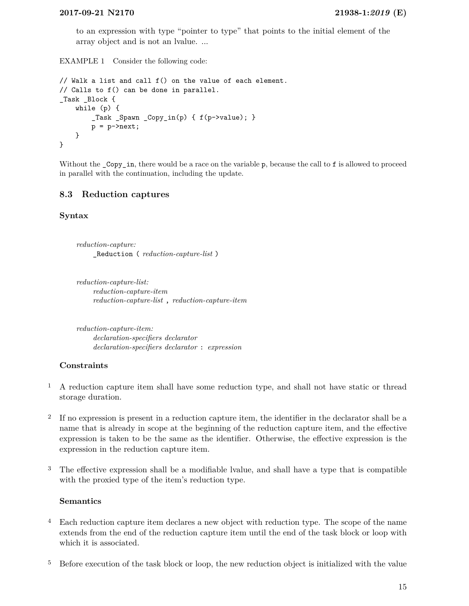<span id="page-20-1"></span>to an expression with type "pointer to type" that points to the initial element of the array object and is not an lvalue. ...

EXAMPLE 1 Consider the following code:

```
// Walk a list and call f() on the value of each element.
// Calls to f() can be done in parallel.
_Task _Block {
    while (p) {
        _Task _Spawn _Copy_in(p) { f(p->value); }
        p = p->next;
    }
}
```
Without the \_Copy\_in, there would be a race on the variable p, because the call to f is allowed to proceed in parallel with the continuation, including the update.

#### <span id="page-20-0"></span>**8.3 Reduction captures**

**Syntax**

```
reduction-capture:
     _Reduction ( reduction-capture-list )
```

```
reduction-capture-list:
     reduction-capture-item
     reduction-capture-list , reduction-capture-item
```
*reduction-capture-item: declaration-specifiers declarator declaration-specifiers declarator* : *expression*

#### **Constraints**

- 1 A reduction capture item shall have some reduction type, and shall not have static or thread storage duration.
- 2 If no expression is present in a reduction capture item, the identifier in the declarator shall be a name that is already in scope at the beginning of the reduction capture item, and the effective expression is taken to be the same as the identifier. Otherwise, the effective expression is the expression in the reduction capture item.
- 3 The effective expression shall be a modifiable lvalue, and shall have a type that is compatible with the proxied type of the item's reduction type.

#### **Semantics**

- 4 Each reduction capture item declares a new object with reduction type. The scope of the name extends from the end of the reduction capture item until the end of the task block or loop with which it is associated.
- <sup>5</sup> Before execution of the task block or loop, the new reduction object is initialized with the value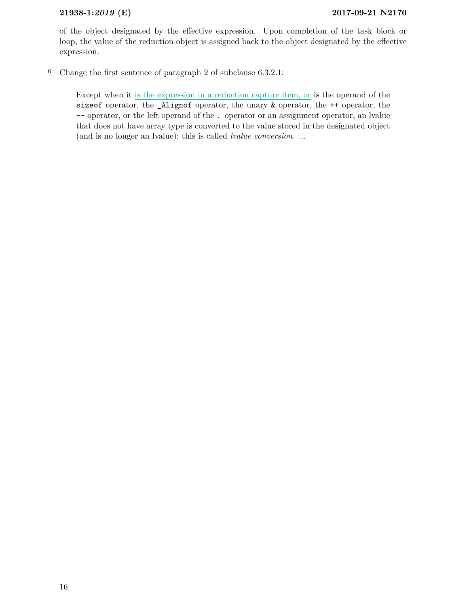#### <span id="page-21-0"></span>**21938-1:***2019* **(E) 2017-09-21 N2170**

of the object designated by the effective expression. Upon completion of the task block or loop, the value of the reduction object is assigned back to the object designated by the effective expression.

6 Change the first sentence of paragraph 2 of subclause 6.3.2.1:

Except when it is the expression in a reduction capture item, or is the operand of the sizeof operator, the \_Alignof operator, the unary & operator, the ++ operator, the -- operator, or the left operand of the . operator or an assignment operator, an lvalue that does not have array type is converted to the value stored in the designated object (and is no longer an lvalue); this is called *lvalue conversion*. ...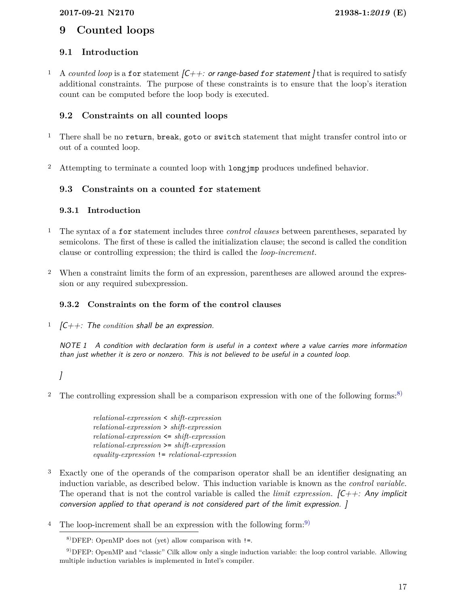## <span id="page-22-1"></span><span id="page-22-0"></span>**9 Counted loops**

### **9.1 Introduction**

<sup>1</sup> A *counted loop* is a for statement  $|C|$  *C++:* or range-based for statement *l* that is required to satisfy additional constraints. The purpose of these constraints is to ensure that the loop's iteration count can be computed before the loop body is executed.

## <span id="page-22-2"></span>**9.2 Constraints on all counted loops**

- <sup>1</sup> There shall be no return, break, goto or switch statement that might transfer control into or out of a counted loop.
- 2 Attempting to terminate a counted loop with longjmp produces undefined behavior.

## <span id="page-22-4"></span><span id="page-22-3"></span>**9.3 Constraints on a counted for statement**

#### **9.3.1 Introduction**

- 1 The syntax of a for statement includes three *control clauses* between parentheses, separated by semicolons. The first of these is called the initialization clause; the second is called the condition clause or controlling expression; the third is called the *loop-increment*.
- 2 When a constraint limits the form of an expression, parentheses are allowed around the expression or any required subexpression.

#### <span id="page-22-5"></span>**9.3.2 Constraints on the form of the control clauses**

1 [C++: The *condition* shall be an expression.

NOTE 1 A condition with declaration form is useful in a context where a value carries more information than just whether it is zero or nonzero. This is not believed to be useful in a counted loop.

- ]
- <sup>2</sup> The controlling expression shall be a comparison expression with one of the following forms:<sup>[8\)](#page-22-6)</sup>

*relational-expression* < *shift-expression relational-expression* > *shift-expression relational-expression* <= *shift-expression relational-expression* >= *shift-expression equality-expression* != *relational-expression*

- 3 Exactly one of the operands of the comparison operator shall be an identifier designating an induction variable, as described below. This induction variable is known as the *control variable*. The operand that is not the control variable is called the *limit expression.*  $(C++: Any implicit$ conversion applied to that operand is not considered part of the limit expression. ]
- <sup>4</sup> The loop-increment shall be an expression with the following form:<sup>[9\)](#page-22-7)</sup>

<span id="page-22-7"></span><span id="page-22-6"></span> $8$ )DFEP: OpenMP does not (yet) allow comparison with  $!=$ .

<sup>9)</sup>DFEP: OpenMP and "classic" Cilk allow only a single induction variable: the loop control variable. Allowing multiple induction variables is implemented in Intel's compiler.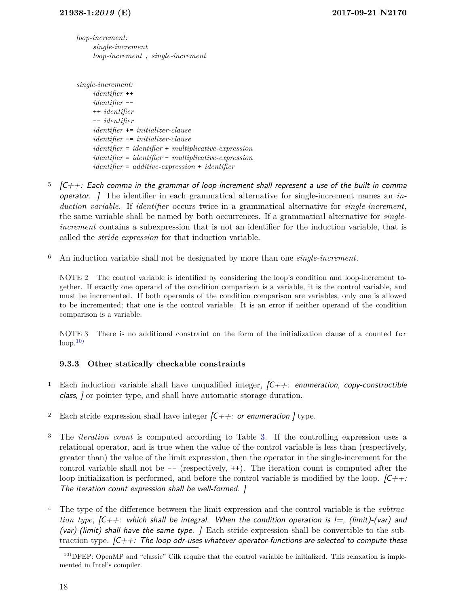*loop-increment: single-increment loop-increment* , *single-increment*

*single-increment: identifier* ++ *identifier* -- ++ *identifier* -- *identifier identifier* += *initializer-clause identifier* -= *initializer-clause identifier* = *identifier* + *multiplicative-expression identifier* = *identifier* - *multiplicative-expression identifier* = *additive-expression* + *identifier*

- $5$   $\sqrt{C++}$ : Each comma in the grammar of loop-increment shall represent a use of the built-in comma operator. ] The identifier in each grammatical alternative for single-increment names an *induction variable*. If *identifier* occurs twice in a grammatical alternative for *single-increment*, the same variable shall be named by both occurrences. If a grammatical alternative for *singleincrement* contains a subexpression that is not an identifier for the induction variable, that is called the *stride expression* for that induction variable.
- 6 An induction variable shall not be designated by more than one *single-increment*.

NOTE 2 The control variable is identified by considering the loop's condition and loop-increment together. If exactly one operand of the condition comparison is a variable, it is the control variable, and must be incremented. If both operands of the condition comparison are variables, only one is allowed to be incremented; that one is the control variable. It is an error if neither operand of the condition comparison is a variable.

NOTE 3 There is no additional constraint on the form of the initialization clause of a counted for  $loop.<sup>10</sup>$ 

#### <span id="page-23-0"></span>**9.3.3 Other statically checkable constraints**

- <sup>1</sup> Each induction variable shall have unqualified integer,  $|C|$ +: enumeration, copy-constructible class, ] or pointer type, and shall have automatic storage duration.
- Each stride expression shall have integer  $|C| + \epsilon$ : or enumeration l type.
- 3 The *iteration count* is computed according to Table [3.](#page-24-1) If the controlling expression uses a relational operator, and is true when the value of the control variable is less than (respectively, greater than) the value of the limit expression, then the operator in the single-increment for the control variable shall not be  $-$  (respectively,  $++$ ). The iteration count is computed after the loop initialization is performed, and before the control variable is modified by the loop.  $(C_{++}$ : The iteration count expression shall be well-formed. ]
- 4 The type of the difference between the limit expression and the control variable is the *subtraction type*, [C++: which shall be integral. When the condition operation is !=, (limit)-(var) and (var)-(limit) shall have the same type.  $\int$  Each stride expression shall be convertible to the subtraction type.  $C_{++}$ : The loop odr-uses whatever operator-functions are selected to compute these

<span id="page-23-1"></span><sup>&</sup>lt;sup>10)</sup>DFEP: OpenMP and "classic" Cilk require that the control variable be initialized. This relaxation is implemented in Intel's compiler.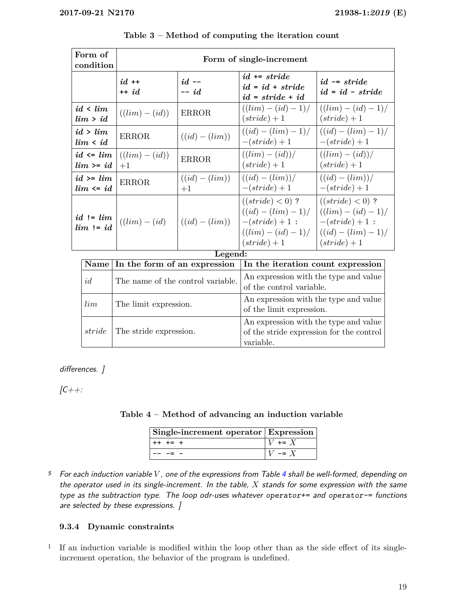<span id="page-24-3"></span>

|                                                                                                 | Form of<br>condition | Form of single-increment          |                        |                                                                                                                               |                                                                                                                              |  |  |  |  |  |  |
|-------------------------------------------------------------------------------------------------|----------------------|-----------------------------------|------------------------|-------------------------------------------------------------------------------------------------------------------------------|------------------------------------------------------------------------------------------------------------------------------|--|--|--|--|--|--|
|                                                                                                 |                      | $id +$<br>$++id$                  | $id -$<br>$--id$       | $id \equiv stride$<br>$id = id + stride$<br>$id = stride + id$                                                                | $id - = stride$<br>$id = id - stride$                                                                                        |  |  |  |  |  |  |
|                                                                                                 | id < lim<br>lim > id | $((lim) - (id))$                  | <b>ERROR</b>           | $((lim) - (id) - 1)$<br>$(\textit{stride}) + 1$                                                                               | $((lim)-(id)-1)/$<br>$(\text{stride}) + 1$                                                                                   |  |  |  |  |  |  |
| id > lim<br>lim < id                                                                            |                      | <b>ERROR</b>                      | $((id)-(lim))$         | $((id)-(lim) - 1)/$<br>$-(\text{stride}) + 1$                                                                                 | $((id)-(lim) - 1)$<br>$-(\text{stride}) + 1$                                                                                 |  |  |  |  |  |  |
| $id \leq lim$<br>$lim \ge id$<br>$id \ge lim$<br>$lim \le id$<br>$id$ != $lim$<br>$lim$ != $id$ |                      | $((lim) - (id))$<br>$+1$          | <b>ERROR</b>           | $((lim)-(id))/$<br>$(\textit{stride}) + 1$                                                                                    | $((lim)-(id))/$<br>$(\textit{stride}) + 1$<br>$((id)-(lim))$<br>$-(\text{stride}) + 1$                                       |  |  |  |  |  |  |
|                                                                                                 |                      | <b>ERROR</b>                      | $((id)-(lim))$<br>$+1$ | $((id)-(lim))$<br>$-(\text{stride}) + 1$                                                                                      |                                                                                                                              |  |  |  |  |  |  |
|                                                                                                 |                      | $((lim) - (id))$                  | $((id)-(lim))$         | $((\text{stride}) < 0)$ ?<br>$((id)-(lim) - 1)/$<br>$-(\text{stride}) + 1$ :<br>$((lim) - (id) - 1)$<br>$(\text{stride}) + 1$ | $((\text{stride}) < 0)$ ?<br>$((lim) - (id) - 1)$<br>$-(\text{stride}) + 1$ :<br>$((id)-(lim) - 1)$<br>$(\text{stride}) + 1$ |  |  |  |  |  |  |
|                                                                                                 |                      |                                   | Legend:                |                                                                                                                               |                                                                                                                              |  |  |  |  |  |  |
|                                                                                                 | Name                 | In the form of an expression      |                        | In the iteration count expression                                                                                             |                                                                                                                              |  |  |  |  |  |  |
|                                                                                                 | id                   | The name of the control variable. |                        | An expression with the type and value<br>of the control variable.                                                             |                                                                                                                              |  |  |  |  |  |  |
|                                                                                                 | $\lim$               | The limit expression.             |                        | An expression with the type and value<br>of the limit expression.                                                             |                                                                                                                              |  |  |  |  |  |  |
|                                                                                                 | $\mathit{stride}$    | The stride expression.            |                        | An expression with the type and value<br>of the stride expression for the control                                             |                                                                                                                              |  |  |  |  |  |  |

<span id="page-24-1"></span>

| Table $3$ – Method of computing the iteration count |  |  |  |  |
|-----------------------------------------------------|--|--|--|--|
|-----------------------------------------------------|--|--|--|--|

differences. ]

 $|C++:$ 

| Table $4$ – Method of advancing an induction variable |  |  |  |
|-------------------------------------------------------|--|--|--|
|-------------------------------------------------------|--|--|--|

variable.

<span id="page-24-2"></span>

| Single-increment operator Expression |              |
|--------------------------------------|--------------|
| $+ + + = +$                          | $V \dashv Y$ |
|                                      | $V = X$      |

 $5$  For each induction variable V, one of the expressions from Table [4](#page-24-2) shall be well-formed, depending on the operator used in its single-increment. In the table,  $X$  stands for some expression with the same type as the subtraction type. The loop odr-uses whatever operator+= and operator-= functions are selected by these expressions. ]

#### <span id="page-24-0"></span>**9.3.4 Dynamic constraints**

1 If an induction variable is modified within the loop other than as the side effect of its singleincrement operation, the behavior of the program is undefined.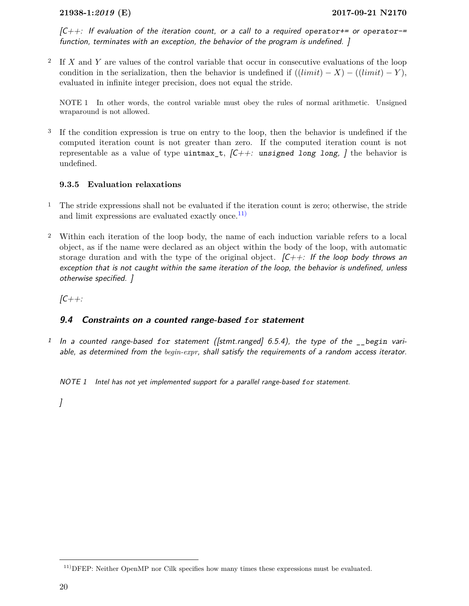<span id="page-25-3"></span> $[C++:$  If evaluation of the iteration count, or a call to a required operator+= or operator-= function, terminates with an exception, the behavior of the program is undefined. ]

2 If X and Y are values of the control variable that occur in consecutive evaluations of the loop condition in the serialization, then the behavior is undefined if  $((limit) - X) - ((limit) - Y)$ , evaluated in infinite integer precision, does not equal the stride.

NOTE 1 In other words, the control variable must obey the rules of normal arithmetic. Unsigned wraparound is not allowed.

3 If the condition expression is true on entry to the loop, then the behavior is undefined if the computed iteration count is not greater than zero. If the computed iteration count is not representable as a value of type uintmax<sub>\_t</sub>,  $|C++\rangle$  unsigned long long, *l* the behavior is undefined.

#### <span id="page-25-0"></span>**9.3.5 Evaluation relaxations**

- 1 The stride expressions shall not be evaluated if the iteration count is zero; otherwise, the stride and limit expressions are evaluated exactly once.<sup>[11\)](#page-25-2)</sup>
- 2 Within each iteration of the loop body, the name of each induction variable refers to a local object, as if the name were declared as an object within the body of the loop, with automatic storage duration and with the type of the original object.  $C++$ : If the loop body throws an exception that is not caught within the same iteration of the loop, the behavior is undefined, unless otherwise specified. ]

<span id="page-25-1"></span> $|C_{++}:$ 

#### **9.4 Constraints on a counted range-based for statement**

<sup>1</sup> In a counted range-based for statement ([stmt.ranged]  $6.5.4$ ), the type of the  $\Box$ begin variable, as determined from the *begin-expr*, shall satisfy the requirements of a random access iterator.

NOTE 1 Intel has not yet implemented support for a parallel range-based for statement.

 $\int$ 

<span id="page-25-2"></span><sup>&</sup>lt;sup>11)</sup>DFEP: Neither OpenMP nor Cilk specifies how many times these expressions must be evaluated.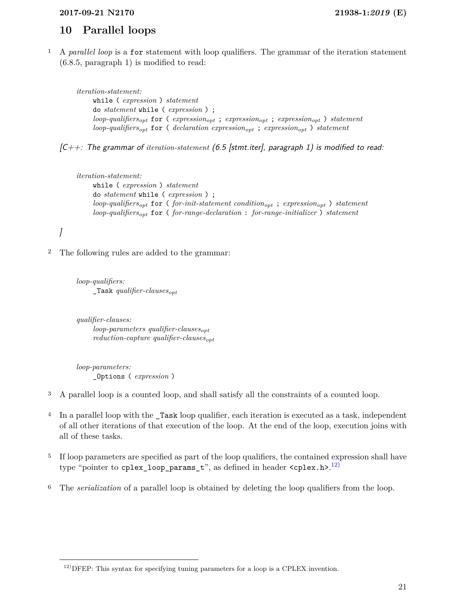## <span id="page-26-2"></span><span id="page-26-0"></span>**10 Parallel loops**

1 A *parallel loop* is a for statement with loop qualifiers. The grammar of the iteration statement (6.8.5, paragraph 1) is modified to read:

```
iteration-statement:
    while ( expression ) statement
    do statement while ( expression ) ;
     loop-qualifiersopt for ( expressionopt ; expressionopt ; expressionopt ) statement
     loop-qualifiersopt for ( declaration expressionopt ; expressionopt ) statement
```
[C++: The grammar of *iteration-statement* (6.5 [stmt.iter], paragraph 1) is modified to read:

```
iteration-statement:
    while ( expression ) statement
    do statement while ( expression ) ;
     loop-qualifiersopt for ( for-init-statement conditionopt ; expressionopt ) statement
    loop-qualifiersopt for ( for-range-declaration : for-range-initializer ) statement
```

```
]
```
2 The following rules are added to the grammar:

*loop-qualifiers:* \_Task *qualifier-clausesopt*

*qualifier-clauses: loop-parameters qualifier-clausesopt reduction-capture qualifier-clausesopt*

*loop-parameters:* \_Options ( *expression* )

3 A parallel loop is a counted loop, and shall satisfy all the constraints of a counted loop.

- 4 In a parallel loop with the \_Task loop qualifier, each iteration is executed as a task, independent of all other iterations of that execution of the loop. At the end of the loop, execution joins with all of these tasks.
- 5 If loop parameters are specified as part of the loop qualifiers, the contained expression shall have type "pointer to  ${\tt cplex\_loop\_params\_t}$ ", as defined in header <code><cplex.h></code>. $^{12)}$  $^{12)}$  $^{12)}$
- 6 The *serialization* of a parallel loop is obtained by deleting the loop qualifiers from the loop.

<span id="page-26-1"></span><sup>&</sup>lt;sup>12)</sup>DFEP: This syntax for specifying tuning parameters for a loop is a CPLEX invention.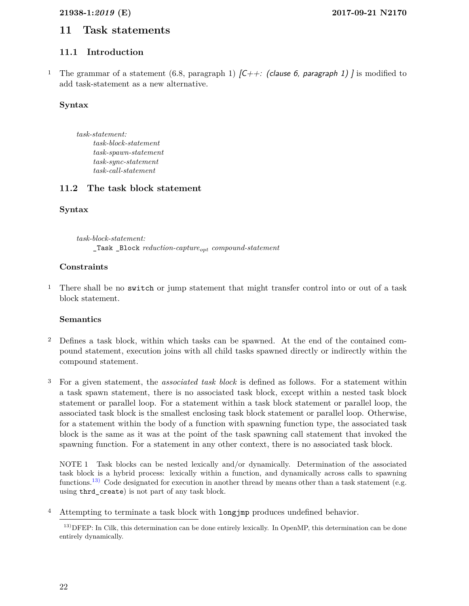## <span id="page-27-4"></span><span id="page-27-1"></span><span id="page-27-0"></span>**11 Task statements**

### **11.1 Introduction**

<sup>1</sup> The grammar of a statement (6.8, paragraph 1)  $|C++$ : (clause 6, paragraph 1) is modified to add task-statement as a new alternative.

#### **Syntax**

*task-statement: task-block-statement task-spawn-statement task-sync-statement task-call-statement*

#### <span id="page-27-2"></span>**11.2 The task block statement**

#### **Syntax**

*task-block-statement:* \_Task \_Block *reduction-captureopt compound-statement*

#### **Constraints**

<sup>1</sup> There shall be no switch or jump statement that might transfer control into or out of a task block statement.

#### **Semantics**

- 2 Defines a task block, within which tasks can be spawned. At the end of the contained compound statement, execution joins with all child tasks spawned directly or indirectly within the compound statement.
- 3 For a given statement, the *associated task block* is defined as follows. For a statement within a task spawn statement, there is no associated task block, except within a nested task block statement or parallel loop. For a statement within a task block statement or parallel loop, the associated task block is the smallest enclosing task block statement or parallel loop. Otherwise, for a statement within the body of a function with spawning function type, the associated task block is the same as it was at the point of the task spawning call statement that invoked the spawning function. For a statement in any other context, there is no associated task block.

NOTE 1 Task blocks can be nested lexically and/or dynamically. Determination of the associated task block is a hybrid process: lexically within a function, and dynamically across calls to spawning functions.<sup>[13\)](#page-27-3)</sup> Code designated for execution in another thread by means other than a task statement (e.g. using thrd\_create) is not part of any task block.

4 Attempting to terminate a task block with longjmp produces undefined behavior.

<span id="page-27-3"></span><sup>&</sup>lt;sup>13)</sup>DFEP: In Cilk, this determination can be done entirely lexically. In OpenMP, this determination can be done entirely dynamically.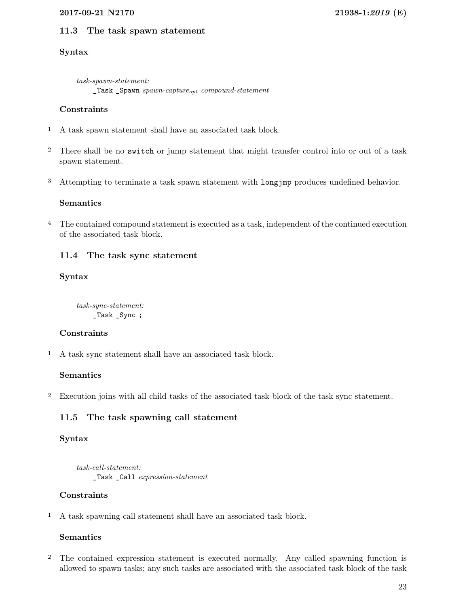#### <span id="page-28-3"></span>**2017-09-21 N2170 21938-1:***2019* **(E)**

#### <span id="page-28-0"></span>**11.3 The task spawn statement**

#### **Syntax**

*task-spawn-statement:* \_Task \_Spawn *spawn-captureopt compound-statement*

#### **Constraints**

- 1 A task spawn statement shall have an associated task block.
- 2 There shall be no switch or jump statement that might transfer control into or out of a task spawn statement.
- 3 Attempting to terminate a task spawn statement with longjmp produces undefined behavior.

#### **Semantics**

4 The contained compound statement is executed as a task, independent of the continued execution of the associated task block.

#### <span id="page-28-1"></span>**11.4 The task sync statement**

#### **Syntax**

*task-sync-statement:* \_Task \_Sync ;

#### **Constraints**

1 A task sync statement shall have an associated task block.

#### **Semantics**

2 Execution joins with all child tasks of the associated task block of the task sync statement.

#### <span id="page-28-2"></span>**11.5 The task spawning call statement**

#### **Syntax**

*task-call-statement:* \_Task \_Call *expression-statement*

#### **Constraints**

 $1$  –  $\!$  atask spawning call statement shall have an associated task block.

#### **Semantics**

2 The contained expression statement is executed normally. Any called spawning function is allowed to spawn tasks; any such tasks are associated with the associated task block of the task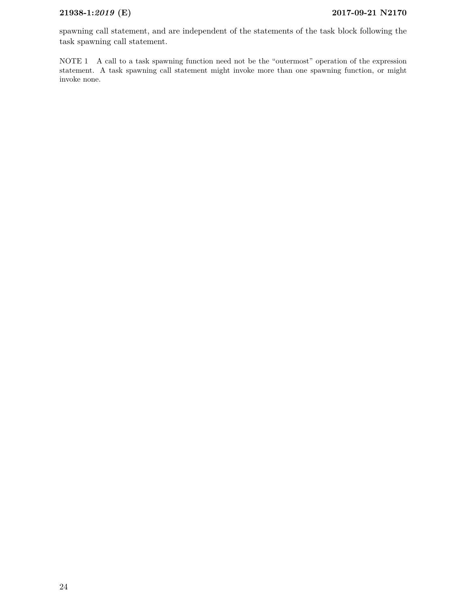<span id="page-29-0"></span>spawning call statement, and are independent of the statements of the task block following the task spawning call statement.

NOTE 1 A call to a task spawning function need not be the "outermost" operation of the expression statement. A task spawning call statement might invoke more than one spawning function, or might invoke none.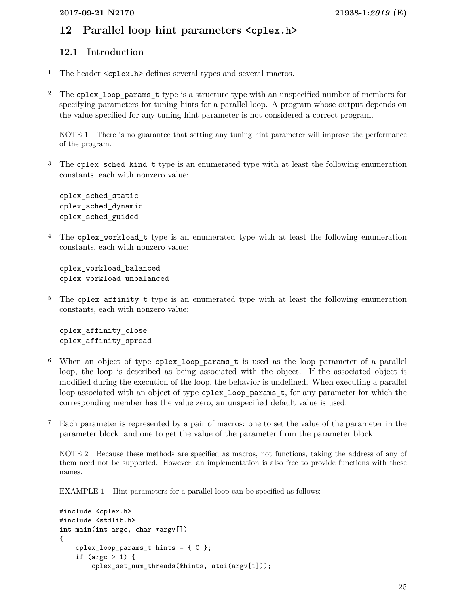## <span id="page-30-2"></span><span id="page-30-1"></span><span id="page-30-0"></span>**12 Parallel loop hint parameters <cplex.h>**

#### **12.1 Introduction**

- 1 The header <cplex.h> defines several types and several macros.
- <sup>2</sup> The cplex loop params t type is a structure type with an unspecified number of members for specifying parameters for tuning hints for a parallel loop. A program whose output depends on the value specified for any tuning hint parameter is not considered a correct program.

NOTE 1 There is no guarantee that setting any tuning hint parameter will improve the performance of the program.

3 The cplex\_sched\_kind\_t type is an enumerated type with at least the following enumeration constants, each with nonzero value:

cplex\_sched\_static cplex\_sched\_dynamic cplex\_sched\_guided

4 The cplex\_workload\_t type is an enumerated type with at least the following enumeration constants, each with nonzero value:

cplex\_workload\_balanced cplex\_workload\_unbalanced

<sup>5</sup> The cplex\_affinity\_t type is an enumerated type with at least the following enumeration constants, each with nonzero value:

cplex\_affinity\_close cplex\_affinity\_spread

- 6 When an object of type cplex\_loop\_params\_t is used as the loop parameter of a parallel loop, the loop is described as being associated with the object. If the associated object is modified during the execution of the loop, the behavior is undefined. When executing a parallel loop associated with an object of type cplex\_loop\_params\_t, for any parameter for which the corresponding member has the value zero, an unspecified default value is used.
- 7 Each parameter is represented by a pair of macros: one to set the value of the parameter in the parameter block, and one to get the value of the parameter from the parameter block.

NOTE 2 Because these methods are specified as macros, not functions, taking the address of any of them need not be supported. However, an implementation is also free to provide functions with these names.

EXAMPLE 1 Hint parameters for a parallel loop can be specified as follows:

```
#include <cplex.h>
#include <stdlib.h>
int main(int argc, char *argv[])
{
   cplex_loop_params_t hints = { 0 };
   if (argc > 1) {
        cplex_set_num_threads(&hints, atoi(argv[1]));
```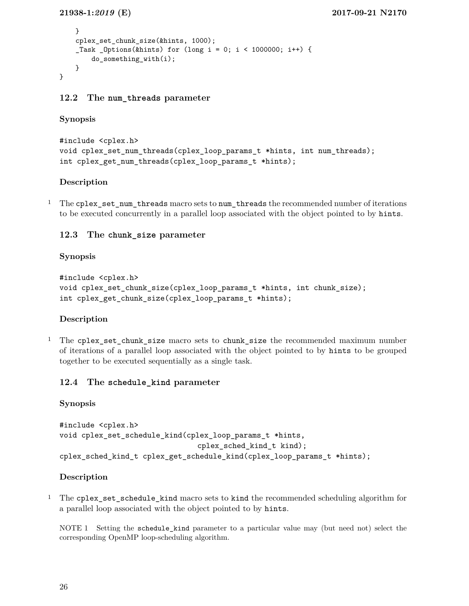```
}
    cplex_set_chunk_size(&hints, 1000);
    _ITask _IOptions(&hints) for (long i = 0; i < 1000000; i++) {
        do_something_with(i);
    }
}
```
#### <span id="page-31-0"></span>**12.2 The num\_threads parameter**

#### **Synopsis**

```
#include <cplex.h>
void cplex_set_num_threads(cplex_loop_params_t *hints, int num_threads);
int cplex_get_num_threads(cplex_loop_params_t *hints);
```
#### **Description**

<sup>1</sup> The cplex\_set\_num\_threads macro sets to num\_threads the recommended number of iterations to be executed concurrently in a parallel loop associated with the object pointed to by hints.

#### <span id="page-31-1"></span>**12.3 The chunk\_size parameter**

#### **Synopsis**

```
#include <cplex.h>
void cplex_set_chunk_size(cplex_loop_params_t *hints, int chunk_size);
int cplex_get_chunk_size(cplex_loop_params_t *hints);
```
#### **Description**

1 The cplex\_set\_chunk\_size macro sets to chunk\_size the recommended maximum number of iterations of a parallel loop associated with the object pointed to by hints to be grouped together to be executed sequentially as a single task.

#### <span id="page-31-2"></span>**12.4 The schedule\_kind parameter**

#### **Synopsis**

```
#include <cplex.h>
void cplex_set_schedule_kind(cplex_loop_params_t *hints,
                                cplex_sched_kind_t kind);
cplex_sched_kind_t cplex_get_schedule_kind(cplex_loop_params_t *hints);
```
#### **Description**

1 The cplex\_set\_schedule\_kind macro sets to kind the recommended scheduling algorithm for a parallel loop associated with the object pointed to by hints.

NOTE 1 Setting the schedule\_kind parameter to a particular value may (but need not) select the corresponding OpenMP loop-scheduling algorithm.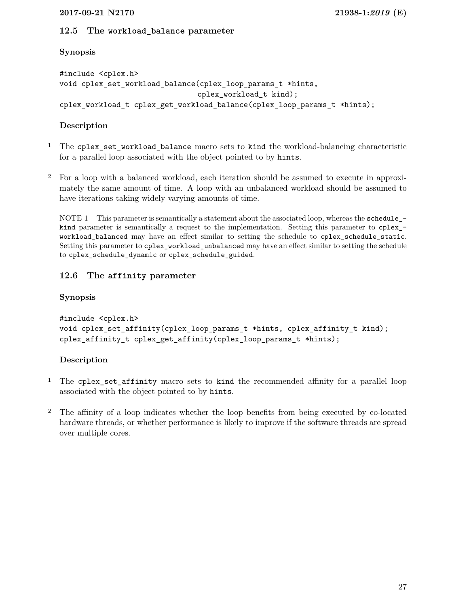#### <span id="page-32-0"></span>**12.5 The workload\_balance parameter**

#### **Synopsis**

```
#include <cplex.h>
void cplex_set_workload_balance(cplex_loop_params_t *hints,
                               cplex_workload_t kind);
cplex_workload_t cplex_get_workload_balance(cplex_loop_params_t *hints);
```
#### **Description**

- 1 The cplex\_set\_workload\_balance macro sets to kind the workload-balancing characteristic for a parallel loop associated with the object pointed to by hints.
- 2 For a loop with a balanced workload, each iteration should be assumed to execute in approximately the same amount of time. A loop with an unbalanced workload should be assumed to have iterations taking widely varying amounts of time.

NOTE 1 This parameter is semantically a statement about the associated loop, whereas the schedule  $$ kind parameter is semantically a request to the implementation. Setting this parameter to cplex\_ workload balanced may have an effect similar to setting the schedule to cplex schedule static. Setting this parameter to cplex workload unbalanced may have an effect similar to setting the schedule to cplex\_schedule\_dynamic or cplex\_schedule\_guided.

#### <span id="page-32-1"></span>**12.6 The affinity parameter**

#### **Synopsis**

```
#include <cplex.h>
void cplex_set_affinity(cplex_loop_params_t *hints, cplex_affinity_t kind);
cplex_affinity_t cplex_get_affinity(cplex_loop_params_t *hints);
```
#### **Description**

- <sup>1</sup> The cplex\_set\_affinity macro sets to kind the recommended affinity for a parallel loop associated with the object pointed to by hints.
- 2 The affinity of a loop indicates whether the loop benefits from being executed by co-located hardware threads, or whether performance is likely to improve if the software threads are spread over multiple cores.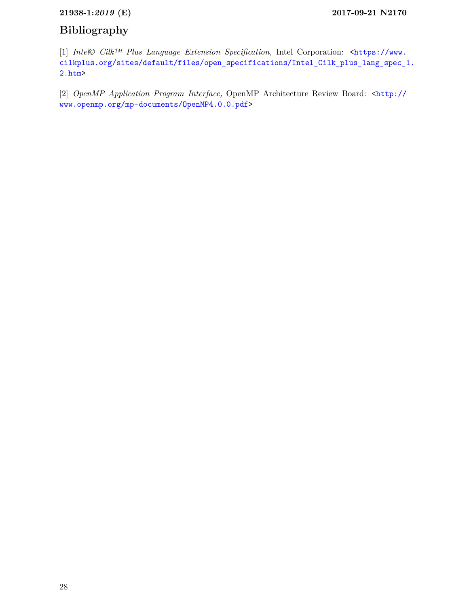**21938-1:***2019* **(E) 2017-09-21 N2170**

## <span id="page-33-0"></span>**Bibliography**

[1] *Intel© Cilk™ Plus Language Extension Specification,* Intel Corporation: [<https://www.](https://www.cilkplus.org/sites/default/files/open_specifications/Intel_Cilk_plus_lang_spec_1.2.htm) [cilkplus.org/sites/default/files/open\\_specifications/Intel\\_Cilk\\_plus\\_lang\\_spec\\_1](https://www.cilkplus.org/sites/default/files/open_specifications/Intel_Cilk_plus_lang_spec_1.2.htm). [2.htm>](https://www.cilkplus.org/sites/default/files/open_specifications/Intel_Cilk_plus_lang_spec_1.2.htm)

[2] *OpenMP Application Program Interface,* OpenMP Architecture Review Board: [<http://](http://www.openmp.org/mp-documents/OpenMP4.0.0.pdf) [www.openmp.org/mp-documents/OpenMP4.0.0.pdf>](http://www.openmp.org/mp-documents/OpenMP4.0.0.pdf)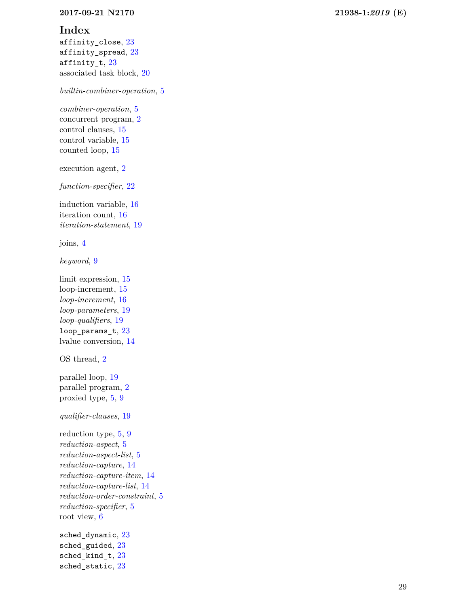#### **2017-09-21 N2170 21938-1:***2019* **(E)**

#### <span id="page-34-0"></span>**Index**

affinity\_close, [23](#page-28-3) affinity\_spread, [23](#page-28-3) affinity\_t, [23](#page-28-3) associated task block, [20](#page-25-3)

*builtin-combiner-operation*, [5](#page-10-5)

*combiner-operation*, [5](#page-10-5) concurrent program, [2](#page-7-1) control clauses, [15](#page-20-1) control variable, [15](#page-20-1) counted loop, [15](#page-20-1)

execution agent, [2](#page-7-1)

*function-specifier*, [22](#page-27-4)

induction variable, [16](#page-21-0) iteration count, [16](#page-21-0) *iteration-statement*, [19](#page-24-3)

joins, [4](#page-9-2)

*keyword*, [9](#page-14-2)

limit expression, [15](#page-20-1) loop-increment, [15](#page-20-1) *loop-increment*, [16](#page-21-0) *loop-parameters*, [19](#page-24-3) *loop-qualifiers*, [19](#page-24-3) loop\_params\_t, [23](#page-28-3) lvalue conversion, [14](#page-19-4)

OS thread, [2](#page-7-1)

parallel loop, [19](#page-24-3) parallel program, [2](#page-7-1) proxied type, [5,](#page-10-5) [9](#page-14-2)

*qualifier-clauses*, [19](#page-24-3)

reduction type, [5,](#page-10-5) [9](#page-14-2) *reduction-aspect*, [5](#page-10-5) *reduction-aspect-list*, [5](#page-10-5) *reduction-capture*, [14](#page-19-4) *reduction-capture-item*, [14](#page-19-4) *reduction-capture-list*, [14](#page-19-4) *reduction-order-constraint*, [5](#page-10-5) *reduction-specifier*, [5](#page-10-5) root view, [6](#page-11-1)

sched\_dynamic, [23](#page-28-3) sched\_guided, [23](#page-28-3) sched\_kind\_t, [23](#page-28-3) sched\_static, [23](#page-28-3)